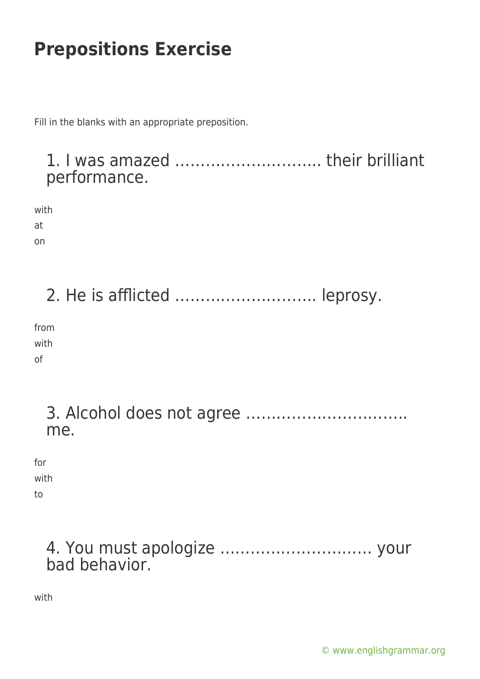Fill in the blanks with an appropriate preposition.

#### 1. I was amazed ……………………….. their brilliant performance.

with

at on

2. He is afflicted ………………………. leprosy.

from with of

> 3. Alcohol does not agree ………………………….. me.

for with

to

| bad behavior. |  |
|---------------|--|

with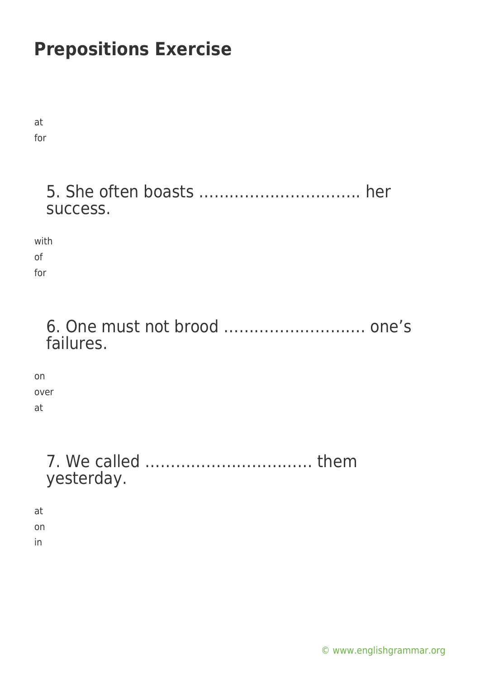at for

### 5. She often boasts ………………………….. her success.

with of for

### 6. One must not brood ………………………. one's failures.

on over at

### 7. We called …………………………… them yesterday.

at on

in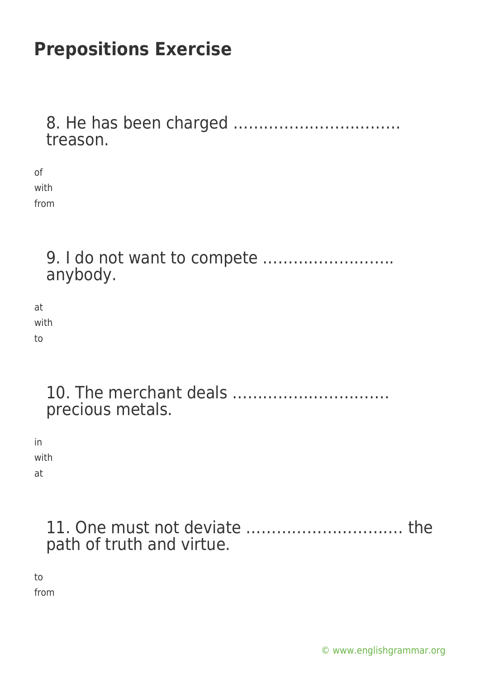8. He has been charged …………………………… treason.

of with from

> 9. I do not want to compete …………………….. anybody.

at with to

| precious metals. |
|------------------|

in with at

> 11. One must not deviate …………………………. the path of truth and virtue.

to from